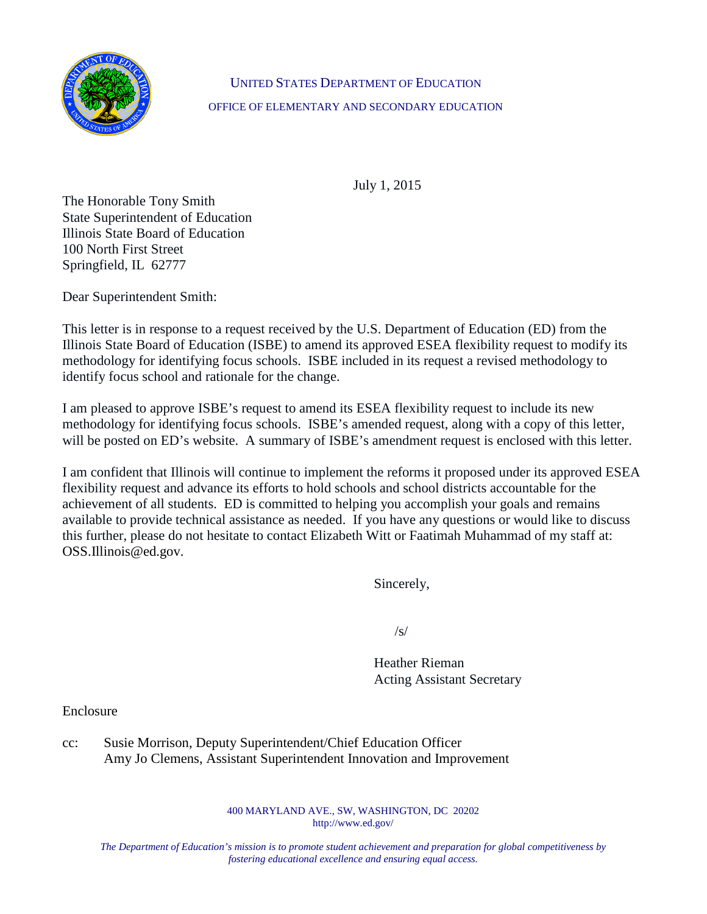

## UNITED STATES DEPARTMENT OF EDUCATION OFFICE OF ELEMENTARY AND SECONDARY EDUCATION

July 1, 2015

The Honorable Tony Smith State Superintendent of Education Illinois State Board of Education 100 North First Street Springfield, IL 62777

Dear Superintendent Smith:

This letter is in response to a request received by the U.S. Department of Education (ED) from the Illinois State Board of Education (ISBE) to amend its approved ESEA flexibility request to modify its methodology for identifying focus schools. ISBE included in its request a revised methodology to identify focus school and rationale for the change.

I am pleased to approve ISBE's request to amend its ESEA flexibility request to include its new methodology for identifying focus schools. ISBE's amended request, along with a copy of this letter, will be posted on ED's website. A summary of ISBE's amendment request is enclosed with this letter.

I am confident that Illinois will continue to implement the reforms it proposed under its approved ESEA flexibility request and advance its efforts to hold schools and school districts accountable for the achievement of all students. ED is committed to helping you accomplish your goals and remains available to provide technical assistance as needed. If you have any questions or would like to discuss this further, please do not hesitate to contact Elizabeth Witt or Faatimah Muhammad of my staff at: OSS.Illinois@ed.gov.

Sincerely,

/s/

Heather Rieman Acting Assistant Secretary

Enclosure

cc: Susie Morrison, Deputy Superintendent/Chief Education Officer Amy Jo Clemens, Assistant Superintendent Innovation and Improvement

> 400 MARYLAND AVE., SW, WASHINGTON, DC 20202 http://www.ed.gov/

*The Department of Education's mission is to promote student achievement and preparation for global competitiveness by fostering educational excellence and ensuring equal access.*